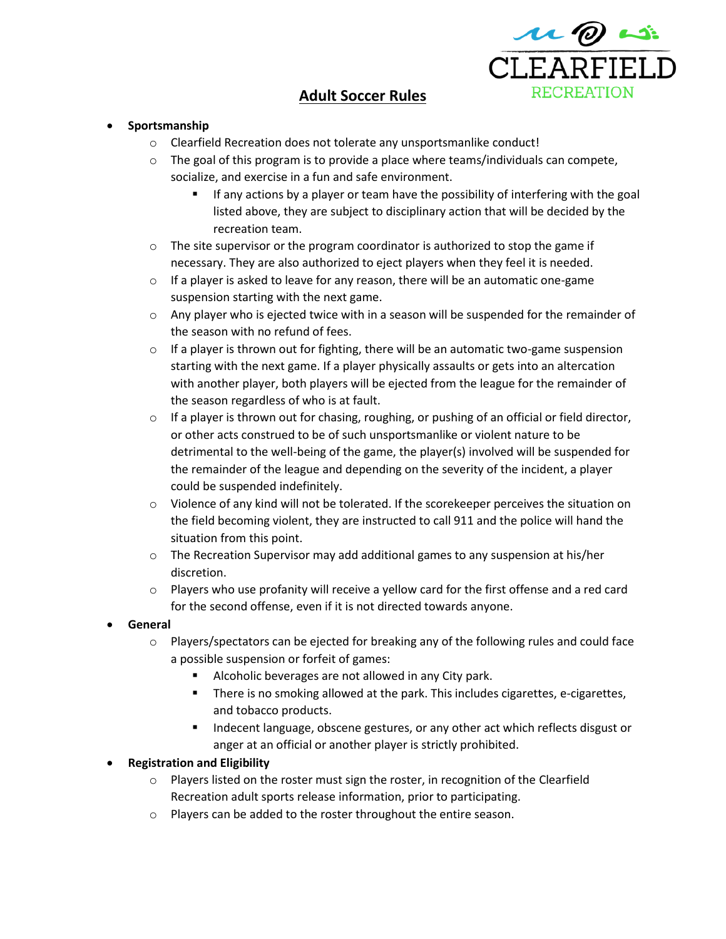

## **Adult Soccer Rules**

## • **Sportsmanship**

- o Clearfield Recreation does not tolerate any unsportsmanlike conduct!
- $\circ$  The goal of this program is to provide a place where teams/individuals can compete, socialize, and exercise in a fun and safe environment.
	- If any actions by a player or team have the possibility of interfering with the goal listed above, they are subject to disciplinary action that will be decided by the recreation team.
- $\circ$  The site supervisor or the program coordinator is authorized to stop the game if necessary. They are also authorized to eject players when they feel it is needed.
- $\circ$  If a player is asked to leave for any reason, there will be an automatic one-game suspension starting with the next game.
- $\circ$  Any player who is ejected twice with in a season will be suspended for the remainder of the season with no refund of fees.
- $\circ$  If a player is thrown out for fighting, there will be an automatic two-game suspension starting with the next game. If a player physically assaults or gets into an altercation with another player, both players will be ejected from the league for the remainder of the season regardless of who is at fault.
- $\circ$  If a player is thrown out for chasing, roughing, or pushing of an official or field director, or other acts construed to be of such unsportsmanlike or violent nature to be detrimental to the well-being of the game, the player(s) involved will be suspended for the remainder of the league and depending on the severity of the incident, a player could be suspended indefinitely.
- $\circ$  Violence of any kind will not be tolerated. If the scorekeeper perceives the situation on the field becoming violent, they are instructed to call 911 and the police will hand the situation from this point.
- $\circ$  The Recreation Supervisor may add additional games to any suspension at his/her discretion.
- $\circ$  Players who use profanity will receive a yellow card for the first offense and a red card for the second offense, even if it is not directed towards anyone.
- **General**
	- $\circ$  Players/spectators can be ejected for breaking any of the following rules and could face a possible suspension or forfeit of games:
		- Alcoholic beverages are not allowed in any City park.
		- There is no smoking allowed at the park. This includes cigarettes, e-cigarettes, and tobacco products.
		- Indecent language, obscene gestures, or any other act which reflects disgust or anger at an official or another player is strictly prohibited.

• **Registration and Eligibility**

- o Players listed on the roster must sign the roster, in recognition of the Clearfield Recreation adult sports release information, prior to participating.
- o Players can be added to the roster throughout the entire season.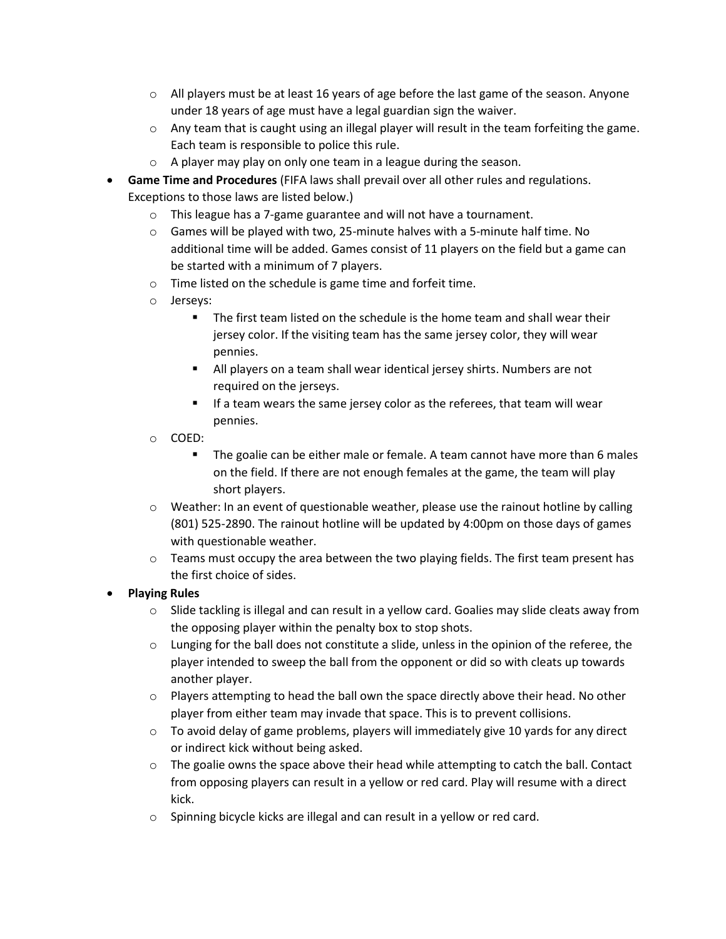- $\circ$  All players must be at least 16 years of age before the last game of the season. Anyone under 18 years of age must have a legal guardian sign the waiver.
- $\circ$  Any team that is caught using an illegal player will result in the team forfeiting the game. Each team is responsible to police this rule.
- o A player may play on only one team in a league during the season.
- **Game Time and Procedures** (FIFA laws shall prevail over all other rules and regulations. Exceptions to those laws are listed below.)
	- o This league has a 7-game guarantee and will not have a tournament.
	- $\circ$  Games will be played with two, 25-minute halves with a 5-minute half time. No additional time will be added. Games consist of 11 players on the field but a game can be started with a minimum of 7 players.
	- o Time listed on the schedule is game time and forfeit time.
	- o Jerseys:
		- The first team listed on the schedule is the home team and shall wear their jersey color. If the visiting team has the same jersey color, they will wear pennies.
		- All players on a team shall wear identical jersey shirts. Numbers are not required on the jerseys.
		- If a team wears the same jersey color as the referees, that team will wear pennies.
	- o COED:
		- The goalie can be either male or female. A team cannot have more than 6 males on the field. If there are not enough females at the game, the team will play short players.
	- $\circ$  Weather: In an event of questionable weather, please use the rainout hotline by calling (801) 525-2890. The rainout hotline will be updated by 4:00pm on those days of games with questionable weather.
	- $\circ$  Teams must occupy the area between the two playing fields. The first team present has the first choice of sides.
- **Playing Rules**
	- $\circ$  Slide tackling is illegal and can result in a yellow card. Goalies may slide cleats away from the opposing player within the penalty box to stop shots.
	- $\circ$  Lunging for the ball does not constitute a slide, unless in the opinion of the referee, the player intended to sweep the ball from the opponent or did so with cleats up towards another player.
	- $\circ$  Players attempting to head the ball own the space directly above their head. No other player from either team may invade that space. This is to prevent collisions.
	- $\circ$  To avoid delay of game problems, players will immediately give 10 yards for any direct or indirect kick without being asked.
	- $\circ$  The goalie owns the space above their head while attempting to catch the ball. Contact from opposing players can result in a yellow or red card. Play will resume with a direct kick.
	- o Spinning bicycle kicks are illegal and can result in a yellow or red card.